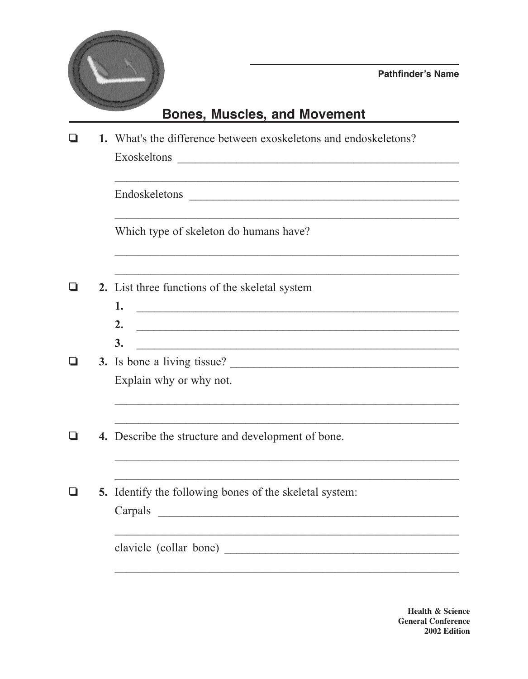

## **Bones, Muscles, and Movement**

|                                        | 1. What's the difference between exoskeletons and endoskeletons?<br>Exoskeltons<br><u> 2000 - Jan James James James James James James James James James James James James James James James James J</u>                                                     |  |  |  |
|----------------------------------------|-------------------------------------------------------------------------------------------------------------------------------------------------------------------------------------------------------------------------------------------------------------|--|--|--|
|                                        | Endoskeletons                                                                                                                                                                                                                                               |  |  |  |
| Which type of skeleton do humans have? |                                                                                                                                                                                                                                                             |  |  |  |
|                                        | 2. List three functions of the skeletal system                                                                                                                                                                                                              |  |  |  |
|                                        | 1.<br><u> Alexandria de la contrada de la contrada de la contrada de la contrada de la contrada de la contrada de la c</u><br>2.<br><u> 1989 - Johann John Stein, markin fan it fjort fan it fjort fan it fjort fan it fjort fan it fjort fan it fjort </u> |  |  |  |
|                                        | 3.                                                                                                                                                                                                                                                          |  |  |  |
|                                        | 3. Is bone a living tissue?                                                                                                                                                                                                                                 |  |  |  |
|                                        | Explain why or why not.                                                                                                                                                                                                                                     |  |  |  |
|                                        | <b>4.</b> Describe the structure and development of bone.                                                                                                                                                                                                   |  |  |  |
|                                        | <b>5.</b> Identify the following bones of the skeletal system:                                                                                                                                                                                              |  |  |  |
|                                        | Carpals                                                                                                                                                                                                                                                     |  |  |  |
|                                        |                                                                                                                                                                                                                                                             |  |  |  |

**Health & Science General Conference** 2002 Edition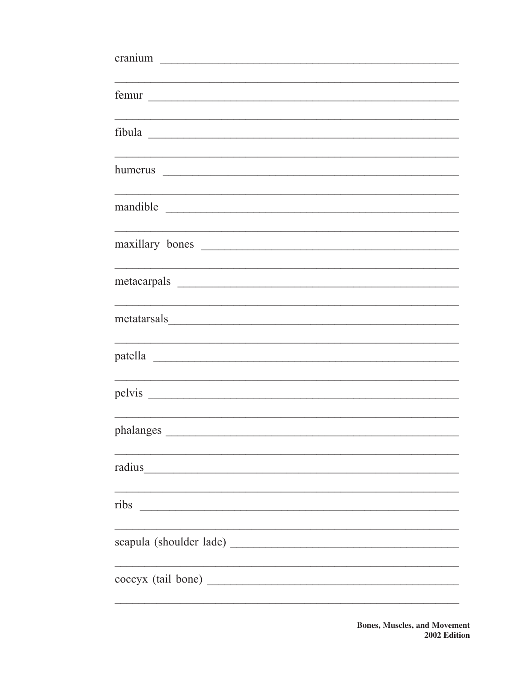| femur and the state of the state of the state of the state of the state of the state of the state of the state of the state of the state of the state of the state of the state of the state of the state of the state of the                    |
|--------------------------------------------------------------------------------------------------------------------------------------------------------------------------------------------------------------------------------------------------|
|                                                                                                                                                                                                                                                  |
|                                                                                                                                                                                                                                                  |
| mandible<br><u> 2000 - Jan James James James James James James James James James James James James James James James James James James James James James James James James James James James James James James James James James James James</u> |
| maxillary bones                                                                                                                                                                                                                                  |
|                                                                                                                                                                                                                                                  |
|                                                                                                                                                                                                                                                  |
|                                                                                                                                                                                                                                                  |
|                                                                                                                                                                                                                                                  |
|                                                                                                                                                                                                                                                  |
|                                                                                                                                                                                                                                                  |
| ribs<br><u> 2000 - Jan James James Jan James James James James James James James James James James James James James Jam</u>                                                                                                                     |
|                                                                                                                                                                                                                                                  |
|                                                                                                                                                                                                                                                  |
|                                                                                                                                                                                                                                                  |

**Bones, Muscles, and Movement** 2002 Edition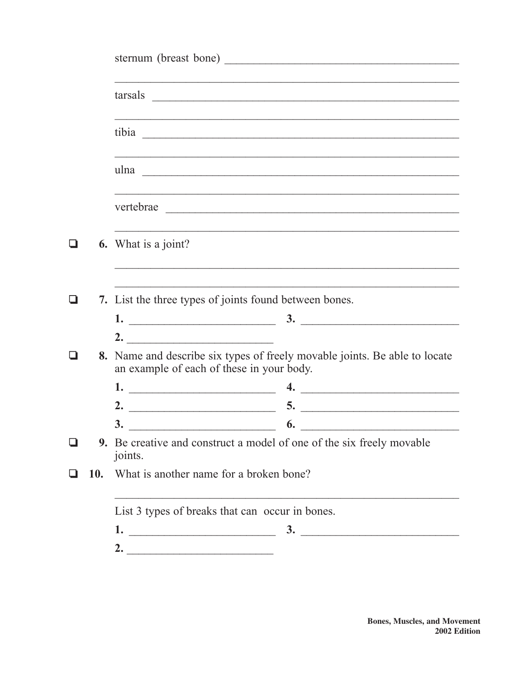|            | vertebrae                                                                        |                                                                                                                                            |
|------------|----------------------------------------------------------------------------------|--------------------------------------------------------------------------------------------------------------------------------------------|
|            | <b>6.</b> What is a joint?                                                       |                                                                                                                                            |
|            |                                                                                  | ,我们也不能在这里的时候,我们也不能在这里的时候,我们也不能会在这里,我们也不能会在这里的时候,我们也不能会在这里的时候,我们也不能会在这里的时候,我们也不能会<br>7. List the three types of joints found between bones. |
|            |                                                                                  |                                                                                                                                            |
|            | 2.                                                                               |                                                                                                                                            |
|            |                                                                                  | 8. Name and describe six types of freely movable joints. Be able to locate<br>an example of each of these in your body.                    |
|            | 1.                                                                               | 4.                                                                                                                                         |
|            | 2.                                                                               | <u> 1989 - Johann John Harry Harry Harry Harry Harry Harry Harry Harry Harry Harry Harry Harry Harry Harry Harry H</u><br>5.               |
|            | 3.                                                                               | 6.                                                                                                                                         |
|            | 9. Be creative and construct a model of one of the six freely movable<br>joints. |                                                                                                                                            |
| <b>10.</b> |                                                                                  | What is another name for a broken bone?                                                                                                    |
|            |                                                                                  | List 3 types of breaks that can occur in bones.                                                                                            |
|            |                                                                                  |                                                                                                                                            |
|            |                                                                                  | 2. $\overline{\phantom{a}}$                                                                                                                |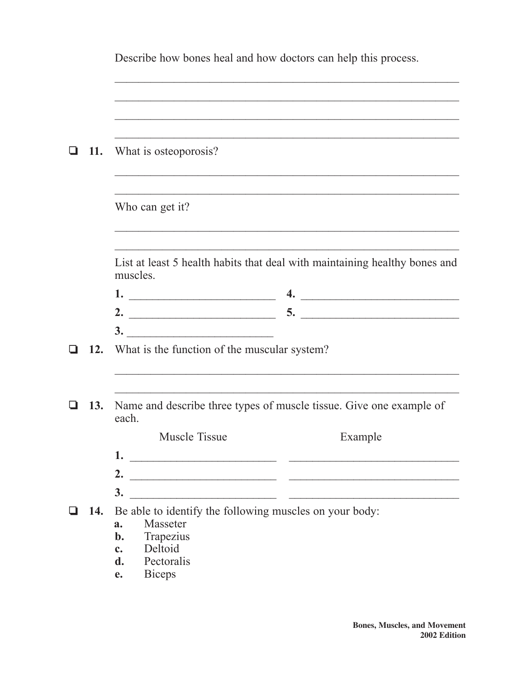|     | Describe how bones heal and how doctors can help this process.                         |  |  |
|-----|----------------------------------------------------------------------------------------|--|--|
|     |                                                                                        |  |  |
|     |                                                                                        |  |  |
|     |                                                                                        |  |  |
|     | 11. What is osteoporosis?                                                              |  |  |
|     |                                                                                        |  |  |
|     | Who can get it?                                                                        |  |  |
|     |                                                                                        |  |  |
|     | List at least 5 health habits that deal with maintaining healthy bones and<br>muscles. |  |  |
|     | $\overline{4.}$                                                                        |  |  |
|     |                                                                                        |  |  |
|     | 3.                                                                                     |  |  |
|     | 12. What is the function of the muscular system?                                       |  |  |
|     |                                                                                        |  |  |
| 13. | Name and describe three types of muscle tissue. Give one example of<br>each.           |  |  |
|     | <b>Muscle Tissue</b><br>Example                                                        |  |  |
|     |                                                                                        |  |  |
|     |                                                                                        |  |  |
|     |                                                                                        |  |  |
|     | 14. Be able to identify the following muscles on your body:                            |  |  |
|     | Masseter<br>a.<br>$b$ .                                                                |  |  |
|     | Trapezius<br>Deltoid<br>$c_{\bullet}$                                                  |  |  |
|     | Pectoralis<br>$\mathbf{d}$ .                                                           |  |  |
|     | <b>Biceps</b><br>e.                                                                    |  |  |